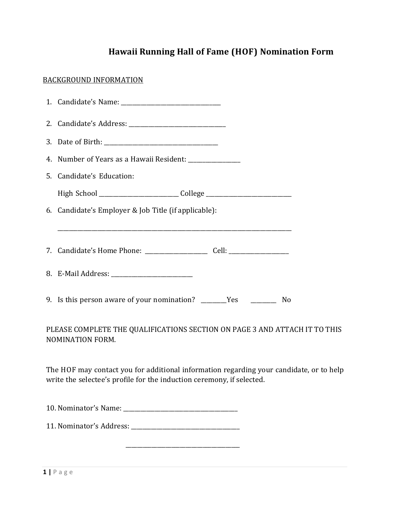## **Hawaii Running Hall of Fame (HOF) Nomination Form**

## BACKGROUND INFORMATION

|                                                                                                       | 1. Candidate's Name: 2008 2014 2022 2023 2024 2022 2023 2024 2022 2023 2024 2022 2023 2024 2022 2023 2024 2022 |  |
|-------------------------------------------------------------------------------------------------------|----------------------------------------------------------------------------------------------------------------|--|
|                                                                                                       |                                                                                                                |  |
|                                                                                                       |                                                                                                                |  |
|                                                                                                       |                                                                                                                |  |
|                                                                                                       | 5. Candidate's Education:                                                                                      |  |
|                                                                                                       | High School _____________________________College _______________________________                               |  |
|                                                                                                       | 6. Candidate's Employer & Job Title (if applicable):                                                           |  |
|                                                                                                       |                                                                                                                |  |
|                                                                                                       | 7. Candidate's Home Phone: ________________________ Cell: ______________________                               |  |
|                                                                                                       |                                                                                                                |  |
|                                                                                                       | 9. Is this person aware of your nomination? ________Yes _____________ No                                       |  |
| PLEASE COMPLETE THE QUALIFICATIONS SECTION ON PAGE 3 AND ATTACH IT TO THIS<br><b>NOMINATION FORM.</b> |                                                                                                                |  |

The HOF may contact you for additional information regarding your candidate, or to help write the selectee's profile for the induction ceremony, if selected.

10. Nominator's Name: \_\_\_\_\_\_\_\_\_\_\_\_\_\_\_\_\_\_\_\_\_\_\_\_\_\_\_\_\_\_\_\_\_\_\_\_\_\_\_\_

11. Nominator's Address: \_\_\_\_\_\_\_\_\_\_\_\_\_\_\_\_\_\_\_\_\_\_\_\_\_\_\_\_\_\_\_\_\_\_\_\_\_\_

 $\overline{\phantom{a}}$  ,  $\overline{\phantom{a}}$  ,  $\overline{\phantom{a}}$  ,  $\overline{\phantom{a}}$  ,  $\overline{\phantom{a}}$  ,  $\overline{\phantom{a}}$  ,  $\overline{\phantom{a}}$  ,  $\overline{\phantom{a}}$  ,  $\overline{\phantom{a}}$  ,  $\overline{\phantom{a}}$  ,  $\overline{\phantom{a}}$  ,  $\overline{\phantom{a}}$  ,  $\overline{\phantom{a}}$  ,  $\overline{\phantom{a}}$  ,  $\overline{\phantom{a}}$  ,  $\overline{\phantom{a}}$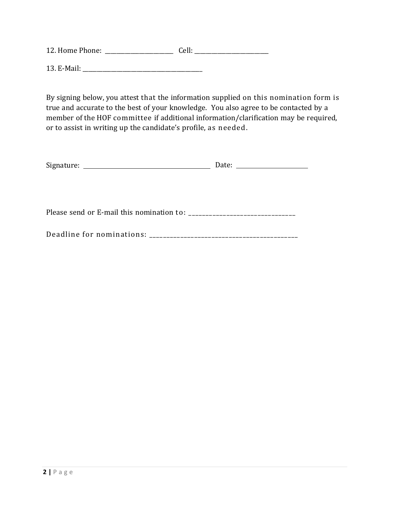12. Home Phone: \_\_\_\_\_\_\_\_\_\_\_\_\_\_\_\_\_\_\_\_\_\_\_\_ Cell: \_\_\_\_\_\_\_\_\_\_\_\_\_\_\_\_\_\_\_\_\_\_\_\_\_\_ 13. EMail: \_\_\_\_\_\_\_\_\_\_\_\_\_\_\_\_\_\_\_\_\_\_\_\_\_\_\_\_\_\_\_\_\_\_\_\_\_\_\_\_\_\_

By signing below, you attest that the information supplied on this nomination form is true and accurate to the best of your knowledge. You also agree to be contacted by a member of the HOF committee if additional information/clarification may be required, or to assist in writing up the candidate's profile, as needed.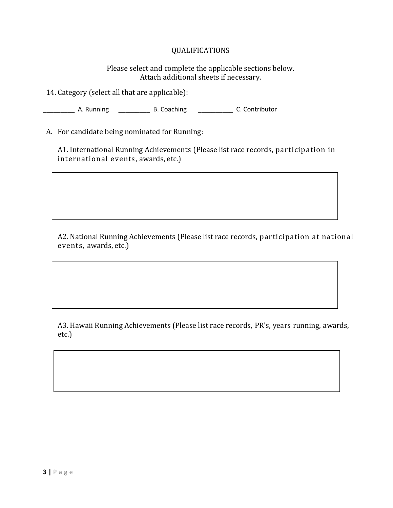## QUALIFICATIONS

Please select and complete the applicable sections below. Attach additional sheets if necessary.

14. Category (select all that are applicable):

\_\_\_\_\_\_\_\_\_ A. Running \_\_\_\_\_\_\_\_\_ B. Coaching \_\_\_\_\_\_\_\_\_\_ C. Contributor

A. For candidate being nominated for Running:

A1. International Running Achievements (Please list race records, participation in international events, awards, etc.)

A2. National Running Achievements (Please list race records, participation at national events, awards, etc.)

A3. Hawaii Running Achievements (Please list race records, PR's, years running, awards, etc.)